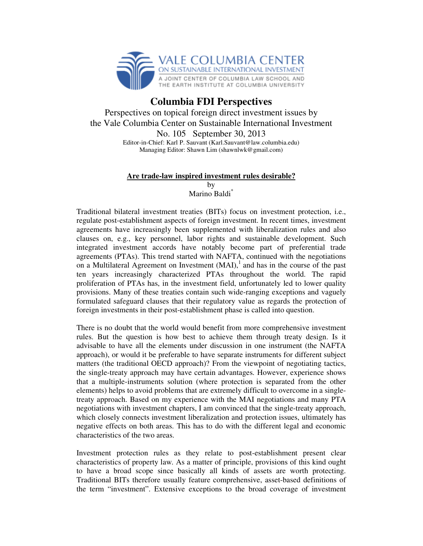

## **Columbia FDI Perspectives**

Perspectives on topical foreign direct investment issues by the Vale Columbia Center on Sustainable International Investment No. 105 September 30, 2013 Editor-in-Chief: Karl P. Sauvant (Karl.Sauvant@law.columbia.edu) Managing Editor: Shawn Lim (shawnlwk@gmail.com)

## **Are trade-law inspired investment rules desirable?**

by Marino Baldi<sup>\*</sup>

Traditional bilateral investment treaties (BITs) focus on investment protection, i.e., regulate post-establishment aspects of foreign investment. In recent times, investment agreements have increasingly been supplemented with liberalization rules and also clauses on, e.g., key personnel, labor rights and sustainable development. Such integrated investment accords have notably become part of preferential trade agreements (PTAs). This trend started with NAFTA, continued with the negotiations on a Multilateral Agreement on Investment  $(MAI)$ , and has in the course of the past ten years increasingly characterized PTAs throughout the world. The rapid proliferation of PTAs has, in the investment field, unfortunately led to lower quality provisions. Many of these treaties contain such wide-ranging exceptions and vaguely formulated safeguard clauses that their regulatory value as regards the protection of foreign investments in their post-establishment phase is called into question.

There is no doubt that the world would benefit from more comprehensive investment rules. But the question is how best to achieve them through treaty design. Is it advisable to have all the elements under discussion in one instrument (the NAFTA approach), or would it be preferable to have separate instruments for different subject matters (the traditional OECD approach)? From the viewpoint of negotiating tactics, the single-treaty approach may have certain advantages. However, experience shows that a multiple-instruments solution (where protection is separated from the other elements) helps to avoid problems that are extremely difficult to overcome in a singletreaty approach. Based on my experience with the MAI negotiations and many PTA negotiations with investment chapters, I am convinced that the single-treaty approach, which closely connects investment liberalization and protection issues, ultimately has negative effects on both areas. This has to do with the different legal and economic characteristics of the two areas.

Investment protection rules as they relate to post-establishment present clear characteristics of property law*.* As a matter of principle, provisions of this kind ought to have a broad scope since basically all kinds of assets are worth protecting. Traditional BITs therefore usually feature comprehensive, asset-based definitions of the term "investment". Extensive exceptions to the broad coverage of investment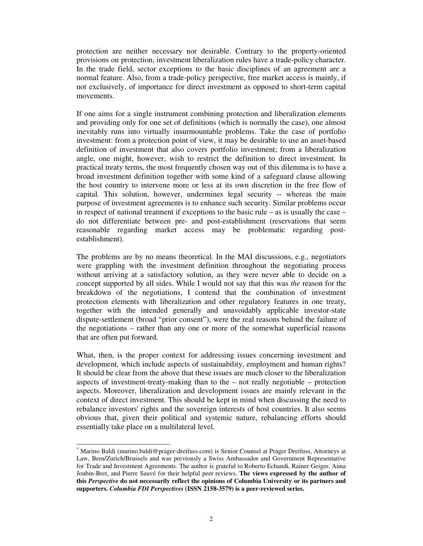protection are neither necessary nor desirable. Contrary to the property-oriented provisions on protection, investment liberalization rules have a trade-policy character. In the trade field, sector exceptions to the basic disciplines of an agreement are a normal feature. Also, from a trade-policy perspective, free market access is mainly, if not exclusively, of importance for direct investment as opposed to short-term capital movements.

If one aims for a single instrument combining protection and liberalization elements and providing only for one set of definitions (which is normally the case), one almost inevitably runs into virtually insurmountable problems. Take the case of portfolio investment: from a protection point of view, it may be desirable to use an asset-based definition of investment that also covers portfolio investment; from a liberalization angle, one might, however, wish to restrict the definition to direct investment*.* In practical treaty terms, the most frequently chosen way out of this dilemma is to have a broad investment definition together with some kind of a safeguard clause allowing the host country to intervene more or less at its own discretion in the free flow of capital. This solution, however, undermines legal security -- whereas the main purpose of investment agreements is to enhance such security. Similar problems occur in respect of national treatment if exceptions to the basic rule – as is usually the case – do not differentiate between pre- and post-establishment (reservations that seem reasonable regarding market access may be problematic regarding postestablishment).

The problems are by no means theoretical. In the MAI discussions, e.g., negotiators were grappling with the investment definition throughout the negotiating process without arriving at a satisfactory solution, as they were never able to decide on a concept supported by all sides. While I would not say that this was *the* reason for the breakdown of the negotiations, I contend that the combination of investment protection elements with liberalization and other regulatory features in one treaty, together with the intended generally and unavoidably applicable investor-state dispute-settlement (broad "prior consent"), were the real reasons behind the failure of the negotiations – rather than any one or more of the somewhat superficial reasons that are often put forward.

What, then, is the proper context for addressing issues concerning investment and development*,* which include aspects of sustainability, employment and human rights? It should be clear from the above that these issues are much closer to the liberalization aspects of investment-treaty-making than to the – not really negotiable – protection aspects. Moreover, liberalization and development issues are mainly relevant in the context of direct investment. This should be kept in mind when discussing the need to rebalance investors' rights and the sovereign interests of host countries. It also seems obvious that, given their political and systemic nature, rebalancing efforts should essentially take place on a multilateral level.

 $\overline{a}$ 

<sup>\*</sup> Marino Baldi (marino.baldi@prager-dreifuss.com) is Senior Counsel at Prager Dreifuss, Attorneys at Law, Bern/Zurich/Brussels and was previously a Swiss Ambassador and Government Representative for Trade and Investment Agreements. The author is grateful to Roberto Echandi, Rainer Geiger, Anna Joubin-Bret, and Pierre Sauvé for their helpful peer reviews. **The views expressed by the author of this** *Perspective* **do not necessarily reflect the opinions of Columbia University or its partners and supporters.** *Columbia FDI Perspectives* **(ISSN 2158-3579) is a peer-reviewed series.**